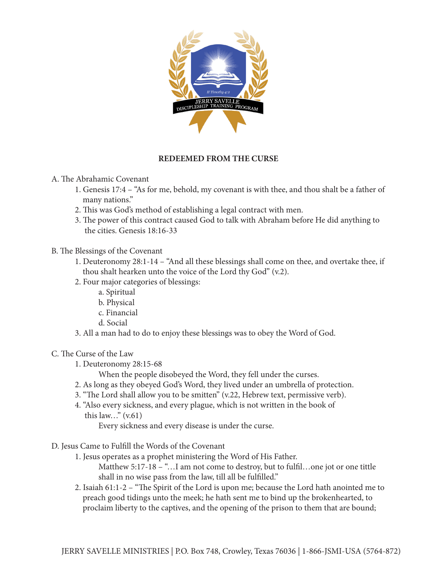

## **REDEEMED FROM THE CURSE**

- A. The Abrahamic Covenant
	- 1. Genesis 17:4 "As for me, behold, my covenant is with thee, and thou shalt be a father of many nations."
	- 2. This was God's method of establishing a legal contract with men.
	- 3. The power of this contract caused God to talk with Abraham before He did anything to the cities. Genesis 18:16-33
- B. The Blessings of the Covenant
	- 1. Deuteronomy 28:1-14 "And all these blessings shall come on thee, and overtake thee, if thou shalt hearken unto the voice of the Lord thy God" (v.2).
	- 2. Four major categories of blessings:
		- a. Spiritual
		- b. Physical
		- c. Financial
		- d. Social
	- 3. All a man had to do to enjoy these blessings was to obey the Word of God.
- C. The Curse of the Law
	- 1. Deuteronomy 28:15-68
		- When the people disobeyed the Word, they fell under the curses.
	- 2. As long as they obeyed God's Word, they lived under an umbrella of protection.
	- 3. "The Lord shall allow you to be smitten" (v.22, Hebrew text, permissive verb).
	- 4. "Also every sickness, and every plague, which is not written in the book of this law..."  $(v.61)$ 
		- Every sickness and every disease is under the curse.
- D. Jesus Came to Fulfill the Words of the Covenant
	- 1. Jesus operates as a prophet ministering the Word of His Father.
		- Matthew 5:17-18 "... I am not come to destroy, but to fulfil...one jot or one tittle shall in no wise pass from the law, till all be fulfilled."
	- 2. Isaiah 61:1-2 "The Spirit of the Lord is upon me; because the Lord hath anointed me to preach good tidings unto the meek; he hath sent me to bind up the brokenhearted, to proclaim liberty to the captives, and the opening of the prison to them that are bound;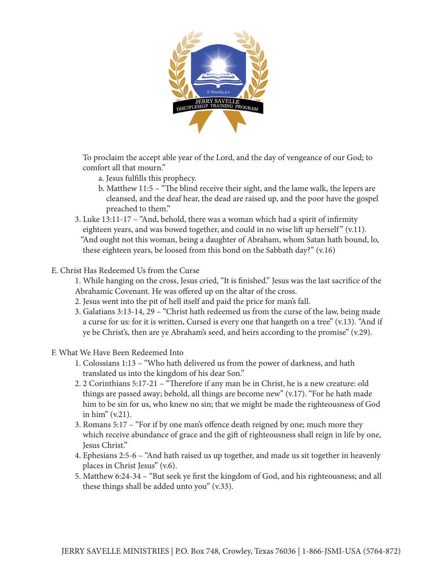

 To proclaim the accept able year of the Lord, and the day of vengeance of our God; to comfort all that mourn."

- a. Jesus fulfills this prophecy.
- b. Matthew 11:5 "The blind receive their sight, and the lame walk, the lepers are cleansed, and the deaf hear, the dead are raised up, and the poor have the gospel preached to them."
- 3. Luke 13:11-17 "And, behold, there was a woman which had a spirit of infirmity eighteen years, and was bowed together, and could in no wise lift up herself"  $(v.11)$ . "And ought not this woman, being a daughter of Abraham, whom Satan hath bound, lo, these eighteen years, be loosed from this bond on the Sabbath day?" (v.16)

## E. Christ Has Redeemed Us from the Curse

1. While hanging on the cross, Jesus cried, "It is finished." Jesus was the last sacrifice of the Abrahamic Covenant. He was offered up on the altar of the cross.

- 2. Jesus went into the pit of hell itself and paid the price for man's fall.
- 3. Galatians 3:13-14, 29 "Christ hath redeemed us from the curse of the law, being made a curse for us: for it is written, Cursed is every one that hangeth on a tree" (v.13). "And if ye be Christ's, then are ye Abraham's seed, and heirs according to the promise" (v.29).
- F. What We Have Been Redeemed Into
	- 1. Colossians 1:13 "Who hath delivered us from the power of darkness, and hath translated us into the kingdom of his dear Son."
	- 2. 2 Corinthians 5:17-21 "Therefore if any man be in Christ, he is a new creature: old things are passed away; behold, all things are become new" (v.17). "For he hath made him to be sin for us, who knew no sin; that we might be made the righteousness of God in him" (v.21).
	- 3. Romans 5:17 "For if by one man's offence death reigned by one; much more they which receive abundance of grace and the gift of righteousness shall reign in life by one, Jesus Christ."
	- 4. Ephesians 2:5-6 "And hath raised us up together, and made us sit together in heavenly places in Christ Jesus" (v.6).
	- 5. Matthew 6:24-34 "But seek ye first the kingdom of God, and his righteousness; and all these things shall be added unto you" (v.33).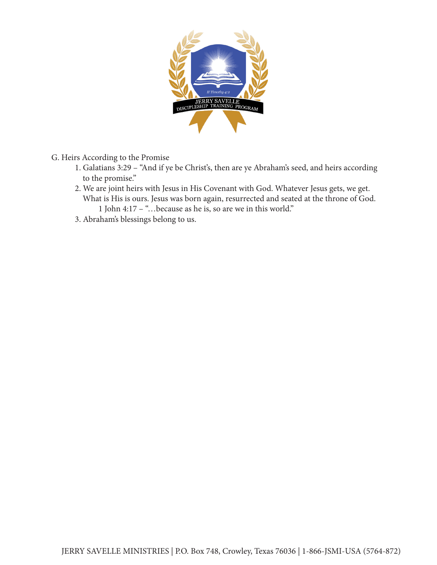

- G. Heirs According to the Promise
	- 1. Galatians 3:29 "And if ye be Christ's, then are ye Abraham's seed, and heirs according to the promise."
	- 2. We are joint heirs with Jesus in His Covenant with God. Whatever Jesus gets, we get. What is His is ours. Jesus was born again, resurrected and seated at the throne of God. 1 John 4:17 – "…because as he is, so are we in this world."
	- 3. Abraham's blessings belong to us.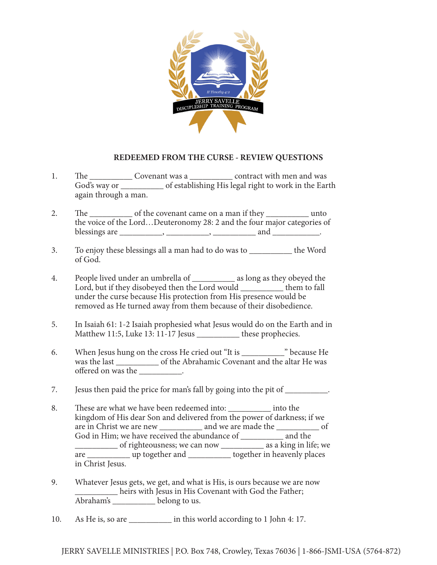

## **REDEEMED FROM THE CURSE - REVIEW QUESTIONS**

- 1. The Covenant was a Contract with men and was God's way or \_\_\_\_\_\_\_\_\_\_ of establishing His legal right to work in the Earth again through a man.
- 2. The \_\_\_\_\_\_\_\_\_\_\_\_ of the covenant came on a man if they \_\_\_\_\_\_\_\_\_\_\_\_ unto the voice of the Lord…Deuteronomy 28: 2 and the four major categories of blessings are  $\frac{1}{\sqrt{2}}$  and  $\frac{1}{\sqrt{2}}$  and  $\frac{1}{\sqrt{2}}$ .
- 3. To enjoy these blessings all a man had to do was to \_\_\_\_\_\_\_\_\_\_ the Word of God.
- 4. People lived under an umbrella of \_\_\_\_\_\_\_\_\_\_ as long as they obeyed the Lord, but if they disobeyed then the Lord would them to fall under the curse because His protection from His presence would be removed as He turned away from them because of their disobedience.
- 5. In Isaiah 61: 1-2 Isaiah prophesied what Jesus would do on the Earth and in Matthew 11:5, Luke 13: 11-17 Jesus \_\_\_\_\_\_\_\_\_\_ these prophecies.
- 6. When Jesus hung on the cross He cried out "It is \_\_\_\_\_\_\_\_\_\_" because He was the last \_\_\_\_\_\_\_\_\_\_\_\_ of the Abrahamic Covenant and the altar He was offered on was the \_\_\_\_\_\_\_\_\_\_.
- 7. Jesus then paid the price for man's fall by going into the pit of \_\_\_\_\_\_\_\_\_.
- 8. These are what we have been redeemed into: \_\_\_\_\_\_\_\_\_\_ into the kingdom of His dear Son and delivered from the power of darkness; if we are in Christ we are new \_\_\_\_\_\_\_\_\_\_ and we are made the \_\_\_\_\_\_\_\_\_\_ of God in Him; we have received the abundance of \_\_\_\_\_\_\_\_\_\_\_ and the \_\_\_\_\_\_\_\_\_\_ of righteousness; we can now \_\_\_\_\_\_\_\_\_\_ as a king in life; we are <u>\_\_\_\_\_\_\_\_\_\_\_</u> up together and \_\_\_\_\_\_\_\_\_\_ together in heavenly places in Christ Jesus.
- 9. Whatever Jesus gets, we get, and what is His, is ours because we are now heirs with Jesus in His Covenant with God the Father; Abraham's \_\_\_\_\_\_\_\_\_\_ belong to us.
- 10. As He is, so are \_\_\_\_\_\_\_\_\_\_ in this world according to 1 John 4: 17.